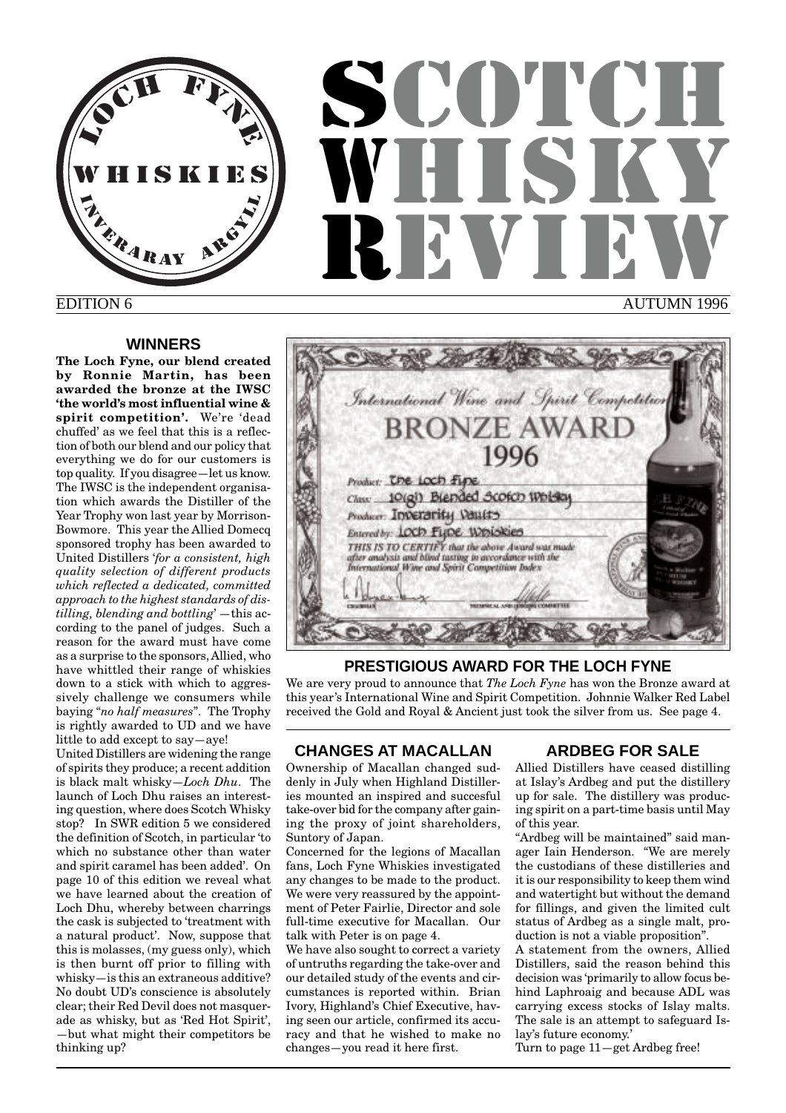# **SCOTCH** WHUT REVIEW AUTUMN 1996 LOCH FFYN R<sub>ARAY</sub> ISKII

## EDITION 6

## **WINNERS**

**The Loch Fyne, our blend created by Ronnie Martin, has been awarded the bronze at the IWSC 'the world's most influential wine & spirit competition'.** We're 'dead chuffed' as we feel that this is a reflection of both our blend and our policy that everything we do for our customers is top quality. If you disagree—let us know. The IWSC is the independent organisation which awards the Distiller of the Year Trophy won last year by Morrison-Bowmore. This year the Allied Domecq sponsored trophy has been awarded to United Distillers '*for a consistent, high quality selection of different products which reflected a dedicated, committed approach to the highest standards of distilling, blending and bottling*' —this according to the panel of judges. Such a reason for the award must have come as a surprise to the sponsors, Allied, who have whittled their range of whiskies down to a stick with which to aggressively challenge we consumers while baying "*no half measures*". The Trophy is rightly awarded to UD and we have little to add except to say—aye!

United Distillers are widening the range of spirits they produce; a recent addition is black malt whisky—*Loch Dhu*. The launch of Loch Dhu raises an interesting question, where does Scotch Whisky stop? In SWR edition 5 we considered the definition of Scotch, in particular 'to which no substance other than water and spirit caramel has been added'. On page 10 of this edition we reveal what we have learned about the creation of Loch Dhu, whereby between charrings the cask is subjected to 'treatment with a natural product'. Now, suppose that this is molasses, (my guess only), which is then burnt off prior to filling with whisky—is this an extraneous additive? No doubt UD's conscience is absolutely clear; their Red Devil does not masquerade as whisky, but as 'Red Hot Spirit', —but what might their competitors be thinking up?



## **PRESTIGIOUS AWARD FOR THE LOCH FYNE**

We are very proud to announce that *The Loch Fyne* has won the Bronze award at this year's International Wine and Spirit Competition. Johnnie Walker Red Label received the Gold and Royal & Ancient just took the silver from us. See page 4.

## **CHANGES AT MACALLAN**

Ownership of Macallan changed suddenly in July when Highland Distilleries mounted an inspired and succesful take-over bid for the company after gaining the proxy of joint shareholders, Suntory of Japan.

Concerned for the legions of Macallan fans, Loch Fyne Whiskies investigated any changes to be made to the product. We were very reassured by the appointment of Peter Fairlie, Director and sole full-time executive for Macallan. Our talk with Peter is on page 4.

We have also sought to correct a variety of untruths regarding the take-over and our detailed study of the events and circumstances is reported within. Brian Ivory, Highland's Chief Executive, having seen our article, confirmed its accuracy and that he wished to make no changes—you read it here first.

## **ARDBEG FOR SALE**

Allied Distillers have ceased distilling at Islay's Ardbeg and put the distillery up for sale. The distillery was producing spirit on a part-time basis until May of this year.

"Ardbeg will be maintained" said manager Iain Henderson. "We are merely the custodians of these distilleries and it is our responsibility to keep them wind and watertight but without the demand for fillings, and given the limited cult status of Ardbeg as a single malt, production is not a viable proposition".

A statement from the owners, Allied Distillers, said the reason behind this decision was 'primarily to allow focus behind Laphroaig and because ADL was carrying excess stocks of Islay malts. The sale is an attempt to safeguard Islay's future economy.'

Turn to page 11—get Ardbeg free!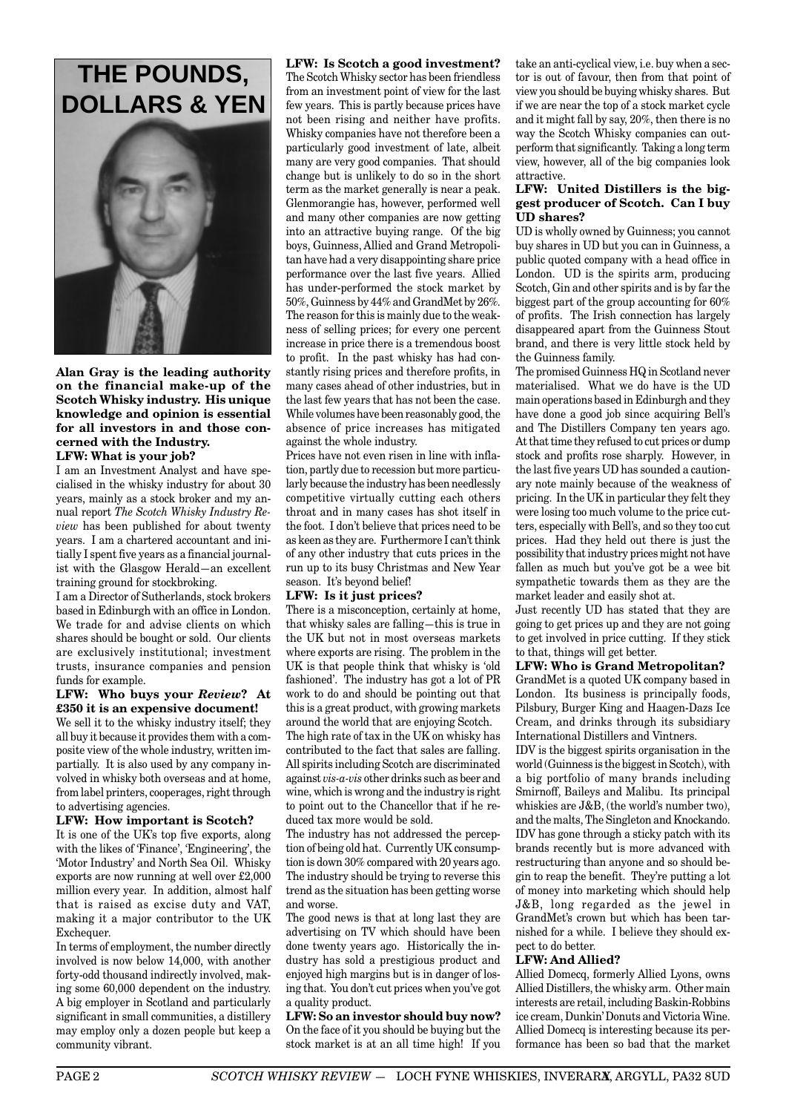# **THE POUNDS, DOLLARS & YEN**



**Alan Gray is the leading authority on the financial make-up of the Scotch Whisky industry. His unique knowledge and opinion is essential for all investors in and those concerned with the Industry. LFW: What is your job?**

I am an Investment Analyst and have specialised in the whisky industry for about 30 years, mainly as a stock broker and my annual report *The Scotch Whisky Industry Review* has been published for about twenty years. I am a chartered accountant and initially I spent five years as a financial journalist with the Glasgow Herald—an excellent training ground for stockbroking.

I am a Director of Sutherlands, stock brokers based in Edinburgh with an office in London. We trade for and advise clients on which shares should be bought or sold. Our clients are exclusively institutional; investment trusts, insurance companies and pension funds for example.

#### **LFW: Who buys your** *Review***? At £350 it is an expensive document!**

We sell it to the whisky industry itself; they all buy it because it provides them with a composite view of the whole industry, written impartially. It is also used by any company involved in whisky both overseas and at home, from label printers, cooperages, right through to advertising agencies.

#### **LFW: How important is Scotch?**

It is one of the UK's top five exports, along with the likes of 'Finance', 'Engineering', the 'Motor Industry' and North Sea Oil. Whisky exports are now running at well over £2,000 million every year. In addition, almost half that is raised as excise duty and VAT, making it a major contributor to the UK Exchequer.

In terms of employment, the number directly involved is now below 14,000, with another forty-odd thousand indirectly involved, making some 60,000 dependent on the industry. A big employer in Scotland and particularly significant in small communities, a distillery may employ only a dozen people but keep a community vibrant.

**LFW: Is Scotch a good investment?** The Scotch Whisky sector has been friendless from an investment point of view for the last few years. This is partly because prices have not been rising and neither have profits. Whisky companies have not therefore been a particularly good investment of late, albeit many are very good companies. That should change but is unlikely to do so in the short term as the market generally is near a peak. Glenmorangie has, however, performed well and many other companies are now getting into an attractive buying range. Of the big boys, Guinness, Allied and Grand Metropolitan have had a very disappointing share price performance over the last five years. Allied has under-performed the stock market by 50%, Guinness by 44% and GrandMet by 26%. The reason for this is mainly due to the weakness of selling prices; for every one percent increase in price there is a tremendous boost to profit. In the past whisky has had constantly rising prices and therefore profits, in many cases ahead of other industries, but in the last few years that has not been the case. While volumes have been reasonably good, the absence of price increases has mitigated against the whole industry.

Prices have not even risen in line with inflation, partly due to recession but more particularly because the industry has been needlessly competitive virtually cutting each others throat and in many cases has shot itself in the foot. I don't believe that prices need to be as keen as they are. Furthermore I can't think of any other industry that cuts prices in the run up to its busy Christmas and New Year season. It's beyond belief!

### **LFW: Is it just prices?**

There is a misconception, certainly at home, that whisky sales are falling—this is true in the UK but not in most overseas markets where exports are rising. The problem in the UK is that people think that whisky is 'old fashioned'. The industry has got a lot of PR work to do and should be pointing out that this is a great product, with growing markets around the world that are enjoying Scotch.

The high rate of tax in the UK on whisky has contributed to the fact that sales are falling. All spirits including Scotch are discriminated against *vis-a-vis* other drinks such as beer and wine, which is wrong and the industry is right to point out to the Chancellor that if he reduced tax more would be sold.

The industry has not addressed the perception of being old hat. Currently UK consumption is down 30% compared with 20 years ago. The industry should be trying to reverse this trend as the situation has been getting worse and worse.

The good news is that at long last they are advertising on TV which should have been done twenty years ago. Historically the industry has sold a prestigious product and enjoyed high margins but is in danger of losing that. You don't cut prices when you've got a quality product.

**LFW: So an investor should buy now?** On the face of it you should be buying but the stock market is at an all time high! If you take an anti-cyclical view, i.e. buy when a sector is out of favour, then from that point of view you should be buying whisky shares. But if we are near the top of a stock market cycle and it might fall by say, 20%, then there is no way the Scotch Whisky companies can outperform that significantly. Taking a long term view, however, all of the big companies look attractive.

#### **LFW: United Distillers is the biggest producer of Scotch. Can I buy UD shares?**

UD is wholly owned by Guinness; you cannot buy shares in UD but you can in Guinness, a public quoted company with a head office in London. UD is the spirits arm, producing Scotch, Gin and other spirits and is by far the biggest part of the group accounting for  $60\%$ of profits. The Irish connection has largely disappeared apart from the Guinness Stout brand, and there is very little stock held by the Guinness family.

The promised Guinness HQ in Scotland never materialised. What we do have is the UD main operations based in Edinburgh and they have done a good job since acquiring Bell's and The Distillers Company ten years ago. At that time they refused to cut prices or dump stock and profits rose sharply. However, in the last five years UD has sounded a cautionary note mainly because of the weakness of pricing. In the UK in particular they felt they were losing too much volume to the price cutters, especially with Bell's, and so they too cut prices. Had they held out there is just the possibility that industry prices might not have fallen as much but you've got be a wee bit sympathetic towards them as they are the market leader and easily shot at.

Just recently UD has stated that they are going to get prices up and they are not going to get involved in price cutting. If they stick to that, things will get better.

#### **LFW: Who is Grand Metropolitan?**

GrandMet is a quoted UK company based in London. Its business is principally foods, Pilsbury, Burger King and Haagen-Dazs Ice Cream, and drinks through its subsidiary International Distillers and Vintners.

IDV is the biggest spirits organisation in the world (Guinness is the biggest in Scotch), with a big portfolio of many brands including Smirnoff, Baileys and Malibu. Its principal whiskies are  $J&B$  (the world's number two). and the malts, The Singleton and Knockando. IDV has gone through a sticky patch with its brands recently but is more advanced with restructuring than anyone and so should begin to reap the benefit. They're putting a lot of money into marketing which should help J&B, long regarded as the jewel in GrandMet's crown but which has been tarnished for a while. I believe they should expect to do better.

#### **LFW: And Allied?**

Allied Domecq, formerly Allied Lyons, owns Allied Distillers, the whisky arm. Other main interests are retail, including Baskin-Robbins ice cream, Dunkin' Donuts and Victoria Wine. Allied Domecq is interesting because its performance has been so bad that the market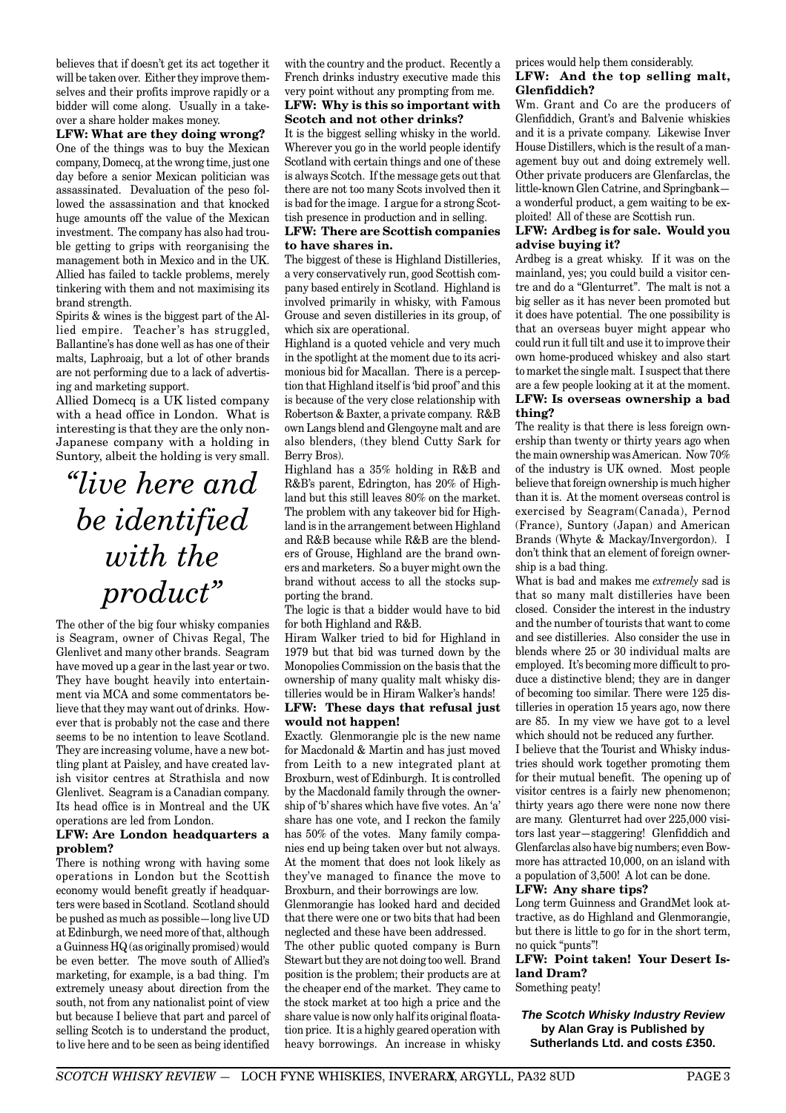believes that if doesn't get its act together it will be taken over. Either they improve themselves and their profits improve rapidly or a bidder will come along. Usually in a takeover a share holder makes money.

**LFW: What are they doing wrong?** One of the things was to buy the Mexican company, Domecq, at the wrong time, just one day before a senior Mexican politician was assassinated. Devaluation of the peso followed the assassination and that knocked huge amounts off the value of the Mexican investment. The company has also had trouble getting to grips with reorganising the management both in Mexico and in the UK. Allied has failed to tackle problems, merely tinkering with them and not maximising its brand strength.

Spirits & wines is the biggest part of the Allied empire. Teacher's has struggled, Ballantine's has done well as has one of their malts, Laphroaig, but a lot of other brands are not performing due to a lack of advertising and marketing support.

Allied Domecq is a UK listed company with a head office in London. What is interesting is that they are the only non-Japanese company with a holding in Suntory, albeit the holding is very small.

*"live here and be identified with the product"*

The other of the big four whisky companies is Seagram, owner of Chivas Regal, The Glenlivet and many other brands. Seagram have moved up a gear in the last year or two. They have bought heavily into entertainment via MCA and some commentators believe that they may want out of drinks. However that is probably not the case and there seems to be no intention to leave Scotland. They are increasing volume, have a new bottling plant at Paisley, and have created lavish visitor centres at Strathisla and now Glenlivet. Seagram is a Canadian company. Its head office is in Montreal and the UK operations are led from London.

#### **LFW: Are London headquarters a problem?**

There is nothing wrong with having some operations in London but the Scottish economy would benefit greatly if headquarters were based in Scotland. Scotland should be pushed as much as possible—long live UD at Edinburgh, we need more of that, although a Guinness HQ (as originally promised) would be even better. The move south of Allied's marketing, for example, is a bad thing. I'm extremely uneasy about direction from the south, not from any nationalist point of view but because I believe that part and parcel of selling Scotch is to understand the product, to live here and to be seen as being identified

with the country and the product. Recently a French drinks industry executive made this very point without any prompting from me.

### **LFW: Why is this so important with Scotch and not other drinks?**

It is the biggest selling whisky in the world. Wherever you go in the world people identify Scotland with certain things and one of these is always Scotch. If the message gets out that there are not too many Scots involved then it is bad for the image. I argue for a strong Scottish presence in production and in selling.

#### **LFW: There are Scottish companies to have shares in.**

The biggest of these is Highland Distilleries, a very conservatively run, good Scottish company based entirely in Scotland. Highland is involved primarily in whisky, with Famous Grouse and seven distilleries in its group, of which six are operational.

Highland is a quoted vehicle and very much in the spotlight at the moment due to its acrimonious bid for Macallan. There is a perception that Highland itself is 'bid proof' and this is because of the very close relationship with Robertson & Baxter, a private company. R&B own Langs blend and Glengoyne malt and are also blenders, (they blend Cutty Sark for Berry Bros).

Highland has a 35% holding in R&B and R&B's parent, Edrington, has 20% of Highland but this still leaves 80% on the market. The problem with any takeover bid for Highland is in the arrangement between Highland and R&B because while R&B are the blenders of Grouse, Highland are the brand owners and marketers. So a buyer might own the brand without access to all the stocks supporting the brand.

The logic is that a bidder would have to bid for both Highland and R&B.

Hiram Walker tried to bid for Highland in 1979 but that bid was turned down by the Monopolies Commission on the basis that the ownership of many quality malt whisky distilleries would be in Hiram Walker's hands! **LFW: These days that refusal just**

# **would not happen!**

Exactly. Glenmorangie plc is the new name for Macdonald & Martin and has just moved from Leith to a new integrated plant at Broxburn, west of Edinburgh. It is controlled by the Macdonald family through the ownership of 'b' shares which have five votes. An 'a' share has one vote, and I reckon the family has 50% of the votes. Many family companies end up being taken over but not always. At the moment that does not look likely as they've managed to finance the move to Broxburn, and their borrowings are low.

Glenmorangie has looked hard and decided that there were one or two bits that had been neglected and these have been addressed.

The other public quoted company is Burn Stewart but they are not doing too well. Brand position is the problem; their products are at the cheaper end of the market. They came to the stock market at too high a price and the share value is now only half its original floatation price. It is a highly geared operation with heavy borrowings. An increase in whisky

prices would help them considerably.

#### **LFW: And the top selling malt, Glenfiddich?**

Wm. Grant and Co are the producers of Glenfiddich, Grant's and Balvenie whiskies and it is a private company. Likewise Inver House Distillers, which is the result of a management buy out and doing extremely well. Other private producers are Glenfarclas, the little-known Glen Catrine, and Springbank a wonderful product, a gem waiting to be exploited! All of these are Scottish run.

#### **LFW: Ardbeg is for sale. Would you advise buying it?**

Ardbeg is a great whisky. If it was on the mainland, yes; you could build a visitor centre and do a "Glenturret". The malt is not a big seller as it has never been promoted but it does have potential. The one possibility is that an overseas buyer might appear who could run it full tilt and use it to improve their own home-produced whiskey and also start to market the single malt. I suspect that there are a few people looking at it at the moment. **LFW: Is overseas ownership a bad thing?**

The reality is that there is less foreign ownership than twenty or thirty years ago when the main ownership was American. Now 70% of the industry is UK owned. Most people believe that foreign ownership is much higher than it is. At the moment overseas control is exercised by Seagram(Canada), Pernod (France), Suntory (Japan) and American Brands (Whyte & Mackay/Invergordon). I don't think that an element of foreign ownership is a bad thing.

What is bad and makes me *extremely* sad is that so many malt distilleries have been closed. Consider the interest in the industry and the number of tourists that want to come and see distilleries. Also consider the use in blends where 25 or 30 individual malts are employed. It's becoming more difficult to produce a distinctive blend; they are in danger of becoming too similar. There were 125 distilleries in operation 15 years ago, now there are 85. In my view we have got to a level which should not be reduced any further.

I believe that the Tourist and Whisky industries should work together promoting them for their mutual benefit. The opening up of visitor centres is a fairly new phenomenon; thirty years ago there were none now there are many. Glenturret had over 225,000 visitors last year—staggering! Glenfiddich and Glenfarclas also have big numbers; even Bowmore has attracted 10,000, on an island with a population of 3,500! A lot can be done.

#### **LFW: Any share tips?**

Long term Guinness and GrandMet look attractive, as do Highland and Glenmorangie, but there is little to go for in the short term, no quick "punts"!

**LFW: Point taken! Your Desert Island Dram?**

Something peaty!

#### **The Scotch Whisky Industry Review by Alan Gray is Published by Sutherlands Ltd. and costs £350.**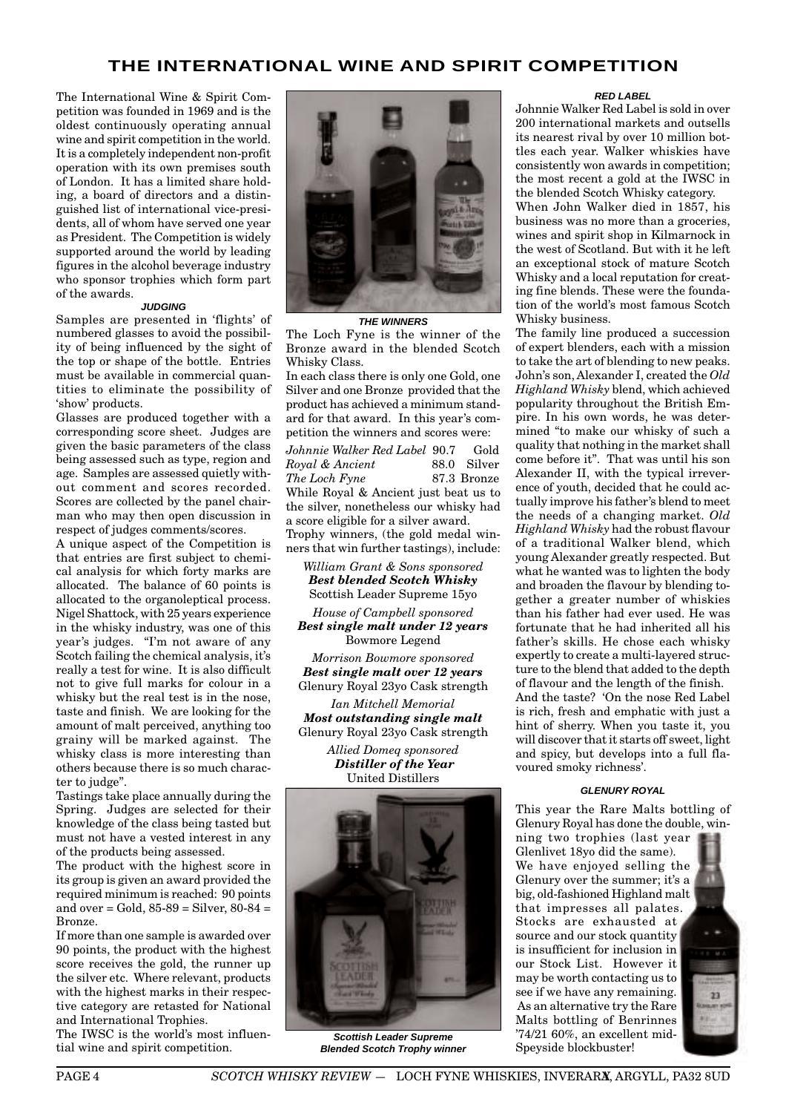## **THE INTERNATIONAL WINE AND SPIRIT COMPETITION**

The International Wine & Spirit Competition was founded in 1969 and is the oldest continuously operating annual wine and spirit competition in the world. It is a completely independent non-profit operation with its own premises south of London. It has a limited share holding, a board of directors and a distinguished list of international vice-presidents, all of whom have served one year as President. The Competition is widely supported around the world by leading figures in the alcohol beverage industry who sponsor trophies which form part of the awards.

#### **JUDGING**

Samples are presented in 'flights' of numbered glasses to avoid the possibility of being influenced by the sight of the top or shape of the bottle. Entries must be available in commercial quantities to eliminate the possibility of 'show' products.

Glasses are produced together with a corresponding score sheet. Judges are given the basic parameters of the class being assessed such as type, region and age. Samples are assessed quietly without comment and scores recorded. Scores are collected by the panel chairman who may then open discussion in respect of judges comments/scores.

A unique aspect of the Competition is that entries are first subject to chemical analysis for which forty marks are allocated. The balance of 60 points is allocated to the organoleptical process. Nigel Shattock, with 25 years experience in the whisky industry, was one of this year's judges. "I'm not aware of any Scotch failing the chemical analysis, it's really a test for wine. It is also difficult not to give full marks for colour in a whisky but the real test is in the nose, taste and finish. We are looking for the amount of malt perceived, anything too grainy will be marked against. The whisky class is more interesting than others because there is so much character to judge".

Tastings take place annually during the Spring. Judges are selected for their knowledge of the class being tasted but must not have a vested interest in any of the products being assessed.

The product with the highest score in its group is given an award provided the required minimum is reached: 90 points and over = Gold,  $85-89$  = Silver,  $80-84$  = Bronze.

If more than one sample is awarded over 90 points, the product with the highest score receives the gold, the runner up the silver etc. Where relevant, products with the highest marks in their respective category are retasted for National and International Trophies.

The IWSC is the world's most influential wine and spirit competition.



**THE WINNERS**

The Loch Fyne is the winner of the Bronze award in the blended Scotch Whisky Class.

In each class there is only one Gold, one Silver and one Bronze provided that the product has achieved a minimum standard for that award. In this year's competition the winners and scores were:

*Johnnie Walker Red Label* 90.7 Gold *Royal & Ancient* 88.0 Silver *The Loch Fyne* 87.3 Bronze While Royal & Ancient just beat us to the silver, nonetheless our whisky had a score eligible for a silver award. Trophy winners, (the gold medal winners that win further tastings), include:

*William Grant & Sons sponsored Best blended Scotch Whisky* Scottish Leader Supreme 15yo *House of Campbell sponsored Best single malt under 12 years* Bowmore Legend

*Morrison Bowmore sponsored Best single malt over 12 years* Glenury Royal 23yo Cask strength

*Ian Mitchell Memorial Most outstanding single malt* Glenury Royal 23yo Cask strength

> *Allied Domeq sponsored Distiller of the Year* United Distillers



**Scottish Leader Supreme Blended Scotch Trophy winner**

#### **RED LABEL**

Johnnie Walker Red Label is sold in over 200 international markets and outsells its nearest rival by over 10 million bottles each year. Walker whiskies have consistently won awards in competition; the most recent a gold at the IWSC in the blended Scotch Whisky category.

When John Walker died in 1857, his business was no more than a groceries, wines and spirit shop in Kilmarnock in the west of Scotland. But with it he left an exceptional stock of mature Scotch Whisky and a local reputation for creating fine blends. These were the foundation of the world's most famous Scotch Whisky business.

The family line produced a succession of expert blenders, each with a mission to take the art of blending to new peaks. John's son, Alexander I, created the *Old Highland Whisky* blend, which achieved popularity throughout the British Empire. In his own words, he was determined "to make our whisky of such a quality that nothing in the market shall come before it". That was until his son Alexander II, with the typical irreverence of youth, decided that he could actually improve his father's blend to meet the needs of a changing market. *Old Highland Whisky* had the robust flavour of a traditional Walker blend, which young Alexander greatly respected. But what he wanted was to lighten the body and broaden the flavour by blending together a greater number of whiskies than his father had ever used. He was fortunate that he had inherited all his father's skills. He chose each whisky expertly to create a multi-layered structure to the blend that added to the depth of flavour and the length of the finish. And the taste? 'On the nose Red Label is rich, fresh and emphatic with just a hint of sherry. When you taste it, you will discover that it starts off sweet, light and spicy, but develops into a full flavoured smoky richness'.

#### **GLENURY ROYAL**

This year the Rare Malts bottling of Glenury Royal has done the double, winning two trophies (last year Glenlivet 18yo did the same). We have enjoyed selling the Glenury over the summer; it's a big, old-fashioned Highland malt that impresses all palates. Stocks are exhausted at source and our stock quantity is insufficient for inclusion in our Stock List. However it may be worth contacting us to see if we have any remaining.  $\overline{\mathbf{n}}$ As an alternative try the Rare Malts bottling of Benrinnes '74/21 60%, an excellent mid-Speyside blockbuster!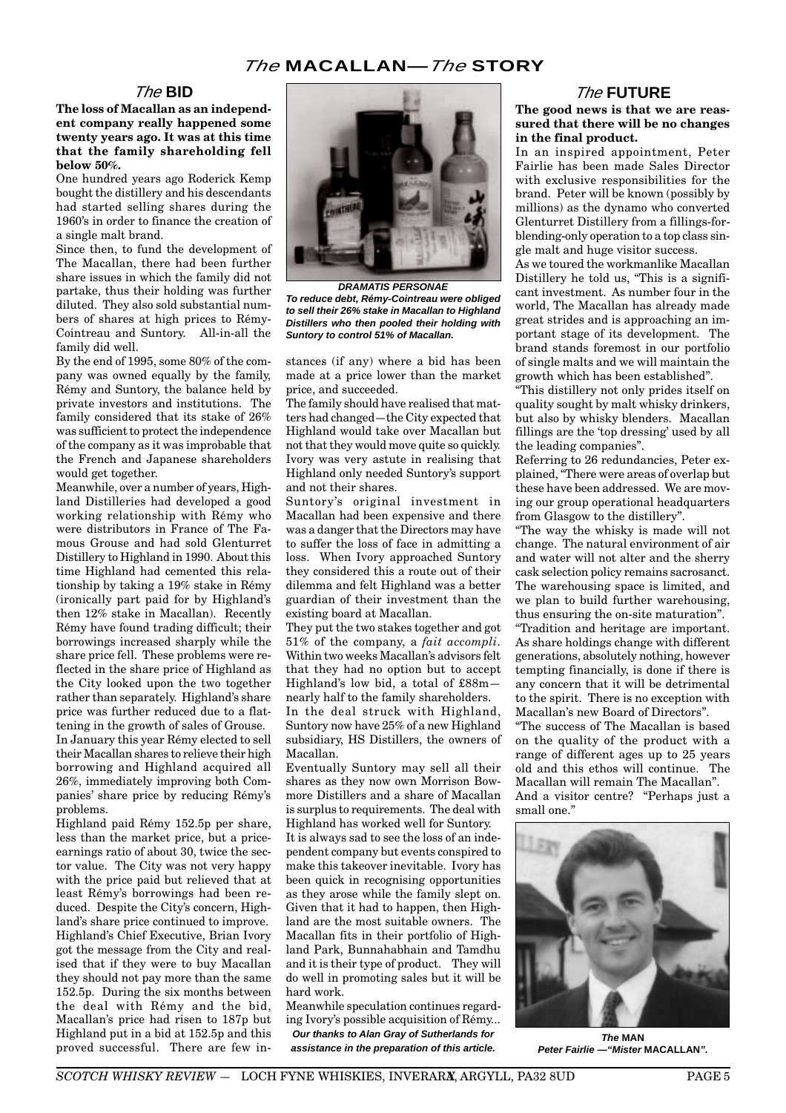#### The **BID**

**The loss of Macallan as an independent company really happened some twenty years ago. It was at this time that the family shareholding fell below 50%.**

One hundred years ago Roderick Kemp bought the distillery and his descendants had started selling shares during the 1960's in order to finance the creation of a single malt brand.

Since then, to fund the development of The Macallan, there had been further share issues in which the family did not partake, thus their holding was further diluted. They also sold substantial numbers of shares at high prices to Rémy-Cointreau and Suntory. All-in-all the family did well.

By the end of 1995, some 80% of the company was owned equally by the family. Rémy and Suntory, the balance held by private investors and institutions. The family considered that its stake of 26% was sufficient to protect the independence of the company as it was improbable that the French and Japanese shareholders would get together.

Meanwhile, over a number of years, Highland Distilleries had developed a good working relationship with Rémy who were distributors in France of The Famous Grouse and had sold Glenturret Distillery to Highland in 1990. About this time Highland had cemented this relationship by taking a 19% stake in Rémy (ironically part paid for by Highland's then 12% stake in Macallan). Recently Rémy have found trading difficult; their borrowings increased sharply while the share price fell. These problems were reflected in the share price of Highland as the City looked upon the two together rather than separately. Highland's share price was further reduced due to a flattening in the growth of sales of Grouse. In January this year Rémy elected to sell their Macallan shares to relieve their high borrowing and Highland acquired all 26%, immediately improving both Companies' share price by reducing Rémy's problems.

Highland paid Rémy 152.5p per share, less than the market price, but a priceearnings ratio of about 30, twice the sector value. The City was not very happy with the price paid but relieved that at least Rémy's borrowings had been reduced. Despite the City's concern, Highland's share price continued to improve. Highland's Chief Executive, Brian Ivory got the message from the City and realised that if they were to buy Macallan they should not pay more than the same 152.5p. During the six months between the deal with Rémy and the bid, Macallan's price had risen to 187p but Highland put in a bid at 152.5p and this proved successful. There are few in-



**To reduce debt, Rémy-Cointreau were obliged to sell their 26% stake in Macallan to Highland Distillers who then pooled their holding with Suntory to control 51% of Macallan.**

stances (if any) where a bid has been made at a price lower than the market price, and succeeded.

The family should have realised that matters had changed—the City expected that Highland would take over Macallan but not that they would move quite so quickly. Ivory was very astute in realising that Highland only needed Suntory's support and not their shares.

Suntory's original investment in Macallan had been expensive and there was a danger that the Directors may have to suffer the loss of face in admitting a loss. When Ivory approached Suntory they considered this a route out of their dilemma and felt Highland was a better guardian of their investment than the existing board at Macallan.

They put the two stakes together and got 51% of the company, a *fait accompli*. Within two weeks Macallan's advisors felt that they had no option but to accept Highland's low bid, a total of £88m nearly half to the family shareholders.

In the deal struck with Highland, Suntory now have 25% of a new Highland subsidiary, HS Distillers, the owners of Macallan.

Eventually Suntory may sell all their shares as they now own Morrison Bowmore Distillers and a share of Macallan is surplus to requirements. The deal with Highland has worked well for Suntory.

It is always sad to see the loss of an independent company but events conspired to make this takeover inevitable. Ivory has been quick in recognising opportunities as they arose while the family slept on. Given that it had to happen, then Highland are the most suitable owners. The Macallan fits in their portfolio of Highland Park, Bunnahabhain and Tamdhu and it is their type of product. They will do well in promoting sales but it will be hard work.

Meanwhile speculation continues regarding Ivory's possible acquisition of Rémy...

**Our thanks to Alan Gray of Sutherlands for assistance in the preparation of this article.**

### The **FUTURE**

#### **The good news is that we are reassured that there will be no changes in the final product.**

In an inspired appointment, Peter Fairlie has been made Sales Director with exclusive responsibilities for the brand. Peter will be known (possibly by millions) as the dynamo who converted Glenturret Distillery from a fillings-forblending-only operation to a top class single malt and huge visitor success.

As we toured the workmanlike Macallan Distillery he told us, "This is a significant investment. As number four in the world, The Macallan has already made great strides and is approaching an important stage of its development. The brand stands foremost in our portfolio of single malts and we will maintain the growth which has been established".

"This distillery not only prides itself on quality sought by malt whisky drinkers, but also by whisky blenders. Macallan fillings are the 'top dressing' used by all the leading companies".

Referring to 26 redundancies, Peter explained, "There were areas of overlap but these have been addressed. We are moving our group operational headquarters from Glasgow to the distillery".

"The way the whisky is made will not change. The natural environment of air and water will not alter and the sherry cask selection policy remains sacrosanct. The warehousing space is limited, and we plan to build further warehousing, thus ensuring the on-site maturation".

"Tradition and heritage are important. As share holdings change with different generations, absolutely nothing, however tempting financially, is done if there is any concern that it will be detrimental to the spirit. There is no exception with Macallan's new Board of Directors".

"The success of The Macallan is based on the quality of the product with a range of different ages up to 25 years old and this ethos will continue. The Macallan will remain The Macallan". And a visitor centre? "Perhaps just a

small one."



**The MAN Peter Fairlie —"Mister MACALLAN".**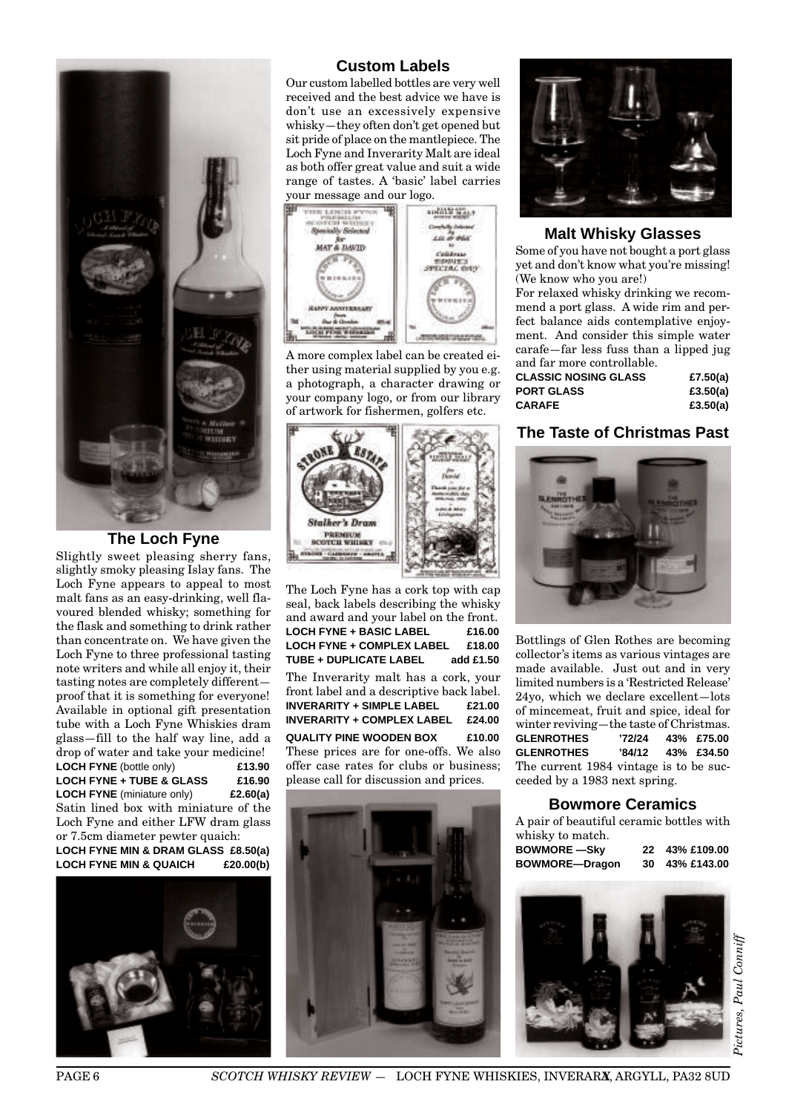

### **The Loch Fyne**

Slightly sweet pleasing sherry fans, slightly smoky pleasing Islay fans. The Loch Fyne appears to appeal to most malt fans as an easy-drinking, well flavoured blended whisky; something for the flask and something to drink rather than concentrate on. We have given the Loch Fyne to three professional tasting note writers and while all enjoy it, their tasting notes are completely different proof that it is something for everyone! Available in optional gift presentation tube with a Loch Fyne Whiskies dram glass—fill to the half way line, add a drop of water and take your medicine! **LOCH FYNE** (bottle only) **£13.90 LOCH FYNE + TUBE & GLASS £16.90 LOCH FYNE** (miniature only) **£2.60(a)** Satin lined box with miniature of the Loch Fyne and either LFW dram glass or 7.5cm diameter pewter quaich: **LOCH FYNE MIN & DRAM GLASS £8.50(a) LOCH FYNE MIN & QUAICH £20.00(b)**



## **Custom Labels**

Our custom labelled bottles are very well received and the best advice we have is don't use an excessively expensive whisky—they often don't get opened but sit pride of place on the mantlepiece. The Loch Fyne and Inverarity Malt are ideal as both offer great value and suit a wide range of tastes. A 'basic' label carries your message and our logo.



A more complex label can be created either using material supplied by you e.g. a photograph, a character drawing or your company logo, or from our library of artwork for fishermen, golfers etc.



The Loch Fyne has a cork top with cap seal, back labels describing the whisky and award and your label on the front. **LOCH FYNE + BASIC LABEL £16.00 LOCH FYNE + COMPLEX LABEL £18.00 TUBE + DUPLICATE LABEL add £1.50**

The Inverarity malt has a cork, your front label and a descriptive back label. **INVERARITY + SIMPLE LABEL £21.00 INVERARITY + COMPLEX LABEL £24.00 QUALITY PINE WOODEN BOX £10.00**

These prices are for one-offs. We also offer case rates for clubs or business; please call for discussion and prices.





#### **Malt Whisky Glasses**

Some of you have not bought a port glass yet and don't know what you're missing! (We know who you are!)

For relaxed whisky drinking we recommend a port glass. A wide rim and perfect balance aids contemplative enjoyment. And consider this simple water carafe—far less fuss than a lipped jug and far more controllable.

| CLASSIC NOSING GLASS | £7.50(a)    |
|----------------------|-------------|
| PORT GLASS           | £3.50 $(a)$ |
| CARAFE               | £3.50(a)    |

## **The Taste of Christmas Past**



Bottlings of Glen Rothes are becoming collector's items as various vintages are made available. Just out and in very limited numbers is a 'Restricted Release' 24yo, which we declare excellent—lots of mincemeat, fruit and spice, ideal for winter reviving—the taste of Christmas. **GLENROTHES '72/24 43% £75.00 GLENROTHES '84/12 43% £34.50** The current 1984 vintage is to be succeeded by a 1983 next spring.

## **Bowmore Ceramics**

A pair of beautiful ceramic bottles with whisky to match.

| <b>BOWMORE —Skv</b> | 22 43% £109.00 |
|---------------------|----------------|
| BOWMORE-Dragon      | 30 43% £143.00 |

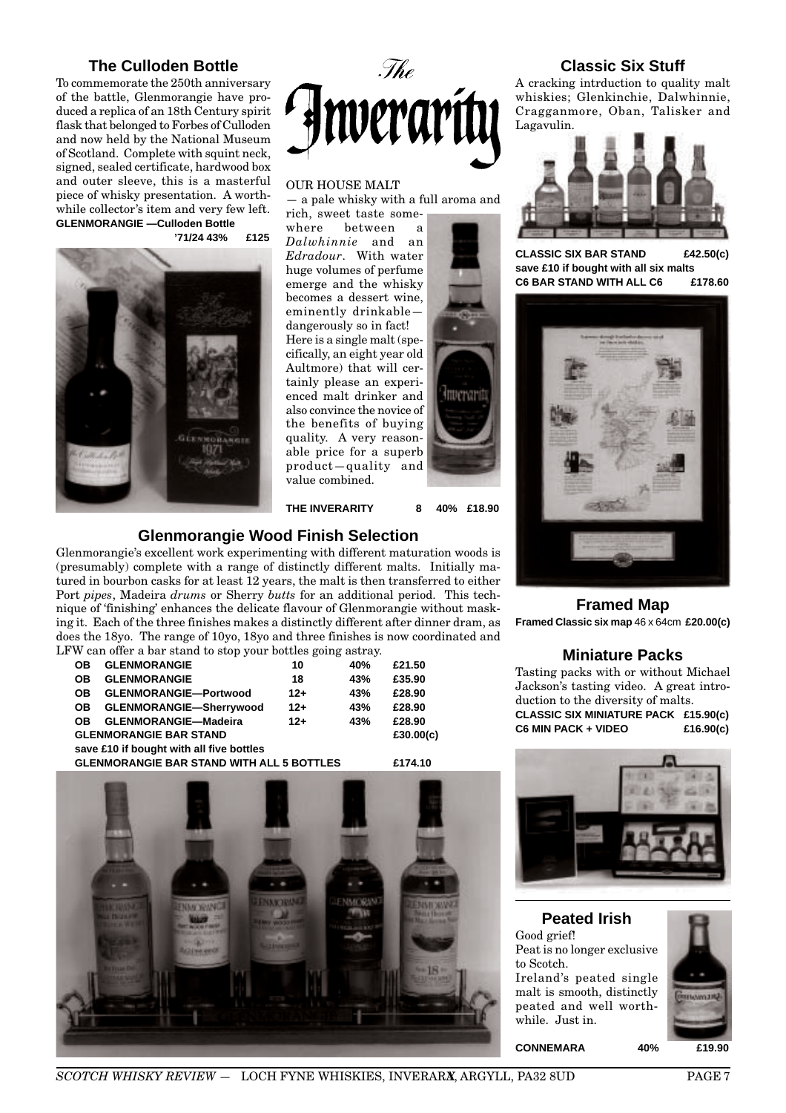## **The Culloden Bottle**

To commemorate the 250th anniversary of the battle, Glenmorangie have produced a replica of an 18th Century spirit flask that belonged to Forbes of Culloden and now held by the National Museum of Scotland. Complete with squint neck, signed, sealed certificate, hardwood box and outer sleeve, this is a masterful piece of whisky presentation. A worthwhile collector's item and very few left. **GLENMORANGIE —Culloden Bottle**





#### OUR HOUSE MALT

— a pale whisky with a full aroma and rich, sweet taste some-

where between a *Dalwhinnie* and an *Edradour*. With water huge volumes of perfume emerge and the whisky becomes a dessert wine, eminently drinkable dangerously so in fact! Here is a single malt (specifically, an eight year old Aultmore) that will certainly please an experienced malt drinker and also convince the novice of the benefits of buying quality. A very reasonable price for a superb product—quality and value combined.



**THE INVERARITY 8 40% £18.90**

## **Glenmorangie Wood Finish Selection**

Glenmorangie's excellent work experimenting with different maturation woods is (presumably) complete with a range of distinctly different malts. Initially matured in bourbon casks for at least 12 years, the malt is then transferred to either Port *pipes*, Madeira *drums* or Sherry *butts* for an additional period. This technique of 'finishing' enhances the delicate flavour of Glenmorangie without masking it. Each of the three finishes makes a distinctly different after dinner dram, as does the 18yo. The range of 10yo, 18yo and three finishes is now coordinated and LFW can offer a bar stand to stop your bottles going astray.

| OВ        | <b>GLENMORANGIE</b>                              | 10    | 40% | £21.50    |
|-----------|--------------------------------------------------|-------|-----|-----------|
| OВ        | <b>GLENMORANGIE</b>                              | 18    | 43% | £35.90    |
| OВ        | <b>GLENMORANGIE-Portwood</b>                     | $12+$ | 43% | £28.90    |
| OВ        | GLENMORANGIE-Sherrywood                          | $12+$ | 43% | £28.90    |
| <b>OB</b> | <b>GLENMORANGIE-Madeira</b>                      | $12+$ | 43% | £28.90    |
|           | <b>GLENMORANGIE BAR STAND</b>                    |       |     | £30.00(c) |
|           | save £10 if bought with all five bottles         |       |     |           |
|           | <b>GLENMORANGIE BAR STAND WITH ALL 5 BOTTLES</b> |       |     | £174.10   |



## **Classic Six Stuff**

A cracking intrduction to quality malt whiskies; Glenkinchie, Dalwhinnie, Cragganmore, Oban, Talisker and Lagavulin.



**CLASSIC SIX BAR STAND £42.50(c) save £10 if bought with all six malts C6 BAR STAND WITH ALL C6 £178.60**



#### **Framed Map Framed Classic six map** 46 x 64cm **£20.00(c)**

#### **Miniature Packs**

Tasting packs with or without Michael Jackson's tasting video. A great introduction to the diversity of malts. **CLASSIC SIX MINIATURE PACK £15.90(c) C6 MIN PACK + VIDEO £16.90(c)**



#### **Peated Irish** Good grief! Peat is no longer exclusive to Scotch. Ireland's peated single malt is smooth, distinctly peated and well worthwhile. Just in.



**CONNEMARA 40% £19.90**

**SCOTCH WHISKY REVIEW - LOCH FYNE WHISKIES, INVERARA, ARGYLL, PA32 8UD PAGE 7**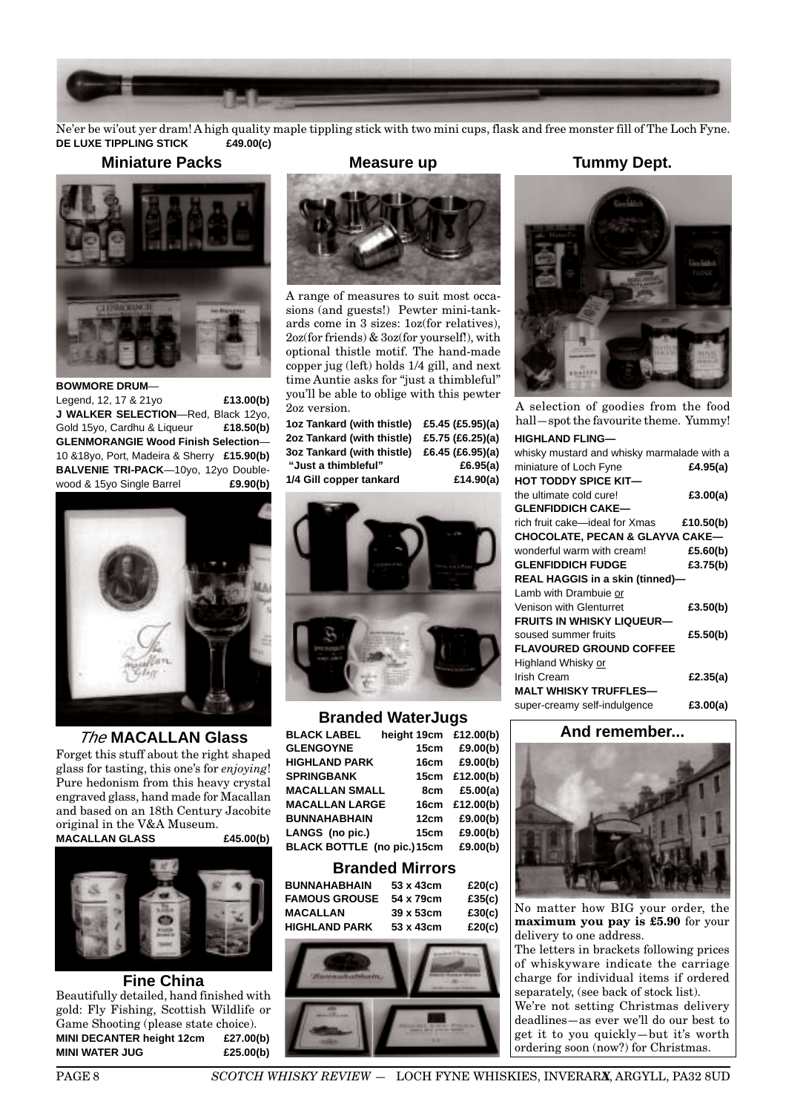

Ne'er be wi'out yer dram! A high quality maple tippling stick with two mini cups, flask and free monster fill of The Loch Fyne. **DE LUXE TIPPLING STICK £49.00(c)**

### **Miniature Packs**



#### **BOWMORE DRUM**—

Legend, 12, 17 & 21yo **£13.00(b) J WALKER SELECTION**—Red, Black 12yo, Gold 15yo, Cardhu & Liqueur **£18.50(b) GLENMORANGIE Wood Finish Selection**— 10 &18yo, Port, Madeira & Sherry **£15.90(b) BALVENIE TRI-PACK**—10yo, 12yo Double-<br>wood & 15yo Single Barrel **£9.90(b)** wood & 15yo Single Barrel



## The **MACALLAN Glass**

Forget this stuff about the right shaped glass for tasting, this one's for *enjoying*! Pure hedonism from this heavy crystal engraved glass, hand made for Macallan and based on an 18th Century Jacobite original in the V&A Museum. **MACALLAN GLASS £45.00(b)**



**Fine China** Beautifully detailed, hand finished with gold: Fly Fishing, Scottish Wildlife or Game Shooting (please state choice). **MINI DECANTER height 12cm £27.00(b) MINI WATER JUG £25.00(b)**

#### **Measure up**



A range of measures to suit most occasions (and guests!) Pewter mini-tankards come in 3 sizes: 1oz(for relatives), 2oz(for friends) & 3oz(for yourself!), with optional thistle motif. The hand-made copper jug (left) holds 1/4 gill, and next time Auntie asks for "just a thimbleful" you'll be able to oblige with this pewter 2oz version.

**1oz Tankard (with thistle) £5.45 (£5.95)(a) 2oz Tankard (with thistle) £5.75 (£6.25)(a) 3oz Tankard (with thistle) £6.45 (£6.95)(a) "Just a thimbleful" £6.95(a) 1/4 Gill copper tankard £14.90(a)**



### **Branded WaterJugs**

| <b>BLACK LABEL</b>         | height 19cm | £12.00(b)     |
|----------------------------|-------------|---------------|
| <b>GLENGOYNE</b>           | 15cm        | £9.00(b)      |
| <b>HIGHLAND PARK</b>       |             | 16cm £9.00(b) |
| <b>SPRINGBANK</b>          | 15cm        | £12.00(b)     |
| <b>MACALLAN SMALL</b>      | 8cm         | £5.00 $(a)$   |
| <b>MACALLAN LARGE</b>      | 16cm        | £12.00(b)     |
| <b>BUNNAHABHAIN</b>        | 12cm        | £9.00(b)      |
| LANGS (no pic.)            | 15cm        | £9.00(b)      |
| BLACK BOTTLE (no pic.)15cm |             | £9.00(b)      |
|                            |             |               |

#### **Branded Mirrors BUNNAHABHAIN 53 x 43cm £20(c) FAMOUS GROUSE** 54 x 79cm **MACALLAN 39 x 53cm £30(c) HIGHLAND PARK 53 x 43cm £20(c)**



## **Tummy Dept.**



A selection of goodies from the food hall—spot the favourite theme. Yummy!

#### **HIGHLAND FLING—**

| whisky mustard and whisky marmalade with a |             |
|--------------------------------------------|-------------|
| miniature of Loch Fyne                     | £4.95(a)    |
| <b>HOT TODDY SPICE KIT-</b>                |             |
| the ultimate cold cure!                    | £3.00(a)    |
| <b>GLENFIDDICH CAKE-</b>                   |             |
| rich fruit cake—ideal for Xmas             | £10.50(b)   |
| <b>CHOCOLATE, PECAN &amp; GLAYVA CAKE-</b> |             |
| wonderful warm with cream!                 | £5.60(b)    |
| <b>GLENFIDDICH FUDGE</b>                   | £3.75(b)    |
| REAL HAGGIS in a skin (tinned)-            |             |
| Lamb with Drambuie or                      |             |
| Venison with Glenturret                    | £3.50(b)    |
| <b>FRUITS IN WHISKY LIQUEUR-</b>           |             |
| soused summer fruits                       | £5.50(b)    |
| <b>FLAVOURED GROUND COFFEE</b>             |             |
| Highland Whisky or                         |             |
| Irish Cream                                | £2.35(a)    |
| <b>MALT WHISKY TRUFFLES-</b>               |             |
| super-creamy self-indulgence               | £3.00 $(a)$ |

#### **And remember...**



No matter how BIG your order, the **maximum you pay is £5.90** for your delivery to one address.

The letters in brackets following prices of whiskyware indicate the carriage charge for individual items if ordered separately, (see back of stock list).

We're not setting Christmas delivery deadlines—as ever we'll do our best to get it to you quickly—but it's worth ordering soon (now?) for Christmas.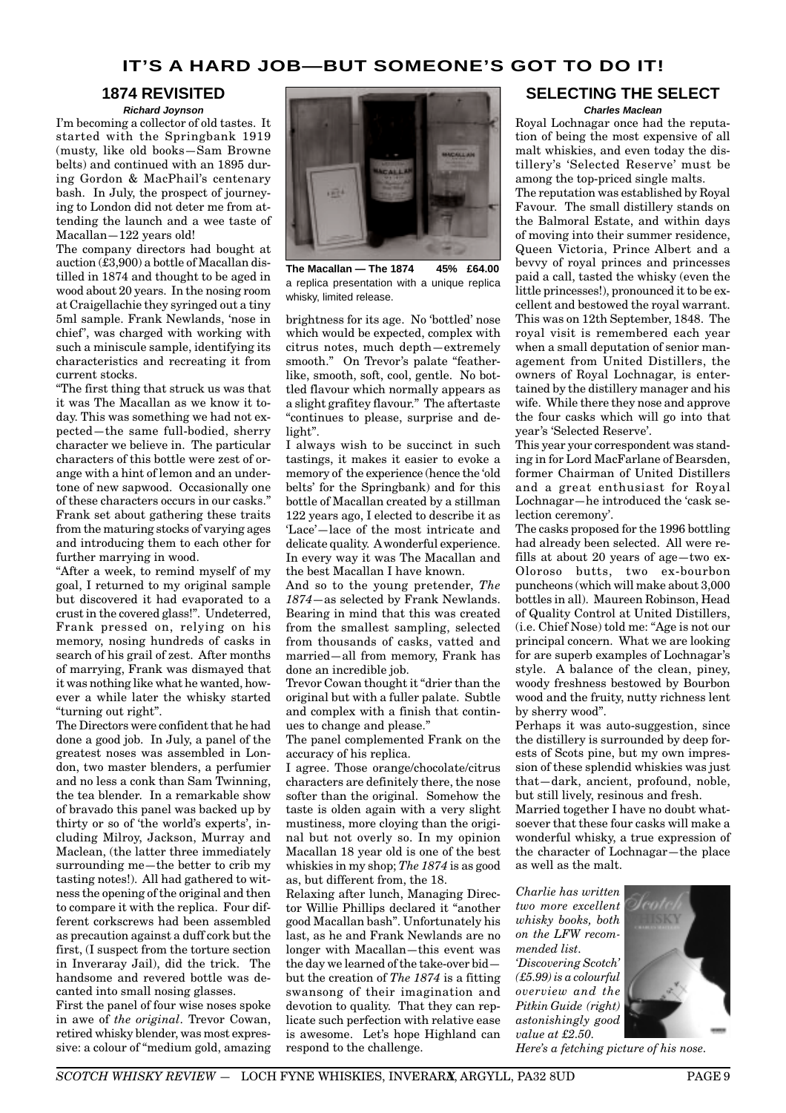# **1874 REVISITED**

**Richard Joynson** I'm becoming a collector of old tastes. It started with the Springbank 1919 (musty, like old books—Sam Browne belts) and continued with an 1895 during Gordon & MacPhail's centenary bash. In July, the prospect of journeying to London did not deter me from attending the launch and a wee taste of Macallan—122 years old!

The company directors had bought at auction (£3,900) a bottle of Macallan distilled in 1874 and thought to be aged in wood about 20 years. In the nosing room at Craigellachie they syringed out a tiny 5ml sample. Frank Newlands, 'nose in chief', was charged with working with such a miniscule sample, identifying its characteristics and recreating it from current stocks.

"The first thing that struck us was that it was The Macallan as we know it today. This was something we had not expected—the same full-bodied, sherry character we believe in. The particular characters of this bottle were zest of orange with a hint of lemon and an undertone of new sapwood. Occasionally one of these characters occurs in our casks." Frank set about gathering these traits from the maturing stocks of varying ages and introducing them to each other for further marrying in wood.

"After a week, to remind myself of my goal, I returned to my original sample but discovered it had evaporated to a crust in the covered glass!". Undeterred, Frank pressed on, relying on his memory, nosing hundreds of casks in search of his grail of zest. After months of marrying, Frank was dismayed that it was nothing like what he wanted, however a while later the whisky started "turning out right".

The Directors were confident that he had done a good job. In July, a panel of the greatest noses was assembled in London, two master blenders, a perfumier and no less a conk than Sam Twinning, the tea blender. In a remarkable show of bravado this panel was backed up by thirty or so of 'the world's experts', including Milroy, Jackson, Murray and Maclean, (the latter three immediately surrounding me—the better to crib my tasting notes!). All had gathered to witness the opening of the original and then to compare it with the replica. Four different corkscrews had been assembled as precaution against a duff cork but the first, (I suspect from the torture section in Inveraray Jail), did the trick. The handsome and revered bottle was decanted into small nosing glasses.

First the panel of four wise noses spoke in awe of *the original*. Trevor Cowan, retired whisky blender, was most expressive: a colour of "medium gold, amazing



**The Macallan — The 1874 45% £64.00** a replica presentation with a unique replica whisky, limited release.

brightness for its age. No 'bottled' nose which would be expected, complex with citrus notes, much depth—extremely smooth." On Trevor's palate "featherlike, smooth, soft, cool, gentle. No bottled flavour which normally appears as a slight grafitey flavour." The aftertaste "continues to please, surprise and delight".

I always wish to be succinct in such tastings, it makes it easier to evoke a memory of the experience (hence the 'old belts' for the Springbank) and for this bottle of Macallan created by a stillman 122 years ago, I elected to describe it as 'Lace'—lace of the most intricate and delicate quality. A wonderful experience. In every way it was The Macallan and the best Macallan I have known.

And so to the young pretender, *The 1874*—as selected by Frank Newlands. Bearing in mind that this was created from the smallest sampling, selected from thousands of casks, vatted and married—all from memory, Frank has done an incredible job.

Trevor Cowan thought it "drier than the original but with a fuller palate. Subtle and complex with a finish that continues to change and please."

The panel complemented Frank on the accuracy of his replica.

I agree. Those orange/chocolate/citrus characters are definitely there, the nose softer than the original. Somehow the taste is olden again with a very slight mustiness, more cloying than the original but not overly so. In my opinion Macallan 18 year old is one of the best whiskies in my shop; *The 1874* is as good as, but different from, the 18.

Relaxing after lunch, Managing Director Willie Phillips declared it "another good Macallan bash". Unfortunately his last, as he and Frank Newlands are no longer with Macallan—this event was the day we learned of the take-over bid but the creation of *The 1874* is a fitting swansong of their imagination and devotion to quality. That they can replicate such perfection with relative ease is awesome. Let's hope Highland can respond to the challenge.

## **SELECTING THE SELECT Charles Maclean**

Royal Lochnagar once had the reputation of being the most expensive of all malt whiskies, and even today the distillery's 'Selected Reserve' must be among the top-priced single malts. The reputation was established by Royal Favour. The small distillery stands on the Balmoral Estate, and within days of moving into their summer residence, Queen Victoria, Prince Albert and a bevvy of royal princes and princesses paid a call, tasted the whisky (even the little princesses!), pronounced it to be excellent and bestowed the royal warrant. This was on 12th September, 1848. The royal visit is remembered each year when a small deputation of senior management from United Distillers, the owners of Royal Lochnagar, is entertained by the distillery manager and his wife. While there they nose and approve the four casks which will go into that year's 'Selected Reserve'.

This year your correspondent was standing in for Lord MacFarlane of Bearsden, former Chairman of United Distillers and a great enthusiast for Royal Lochnagar—he introduced the 'cask selection ceremony'.

The casks proposed for the 1996 bottling had already been selected. All were refills at about 20 years of age—two ex-Oloroso butts, two ex-bourbon puncheons (which will make about 3,000 bottles in all). Maureen Robinson, Head of Quality Control at United Distillers, (i.e. Chief Nose) told me: "Age is not our principal concern. What we are looking for are superb examples of Lochnagar's style. A balance of the clean, piney, woody freshness bestowed by Bourbon wood and the fruity, nutty richness lent by sherry wood".

Perhaps it was auto-suggestion, since the distillery is surrounded by deep forests of Scots pine, but my own impression of these splendid whiskies was just that—dark, ancient, profound, noble, but still lively, resinous and fresh.

Married together I have no doubt whatsoever that these four casks will make a wonderful whisky, a true expression of the character of Lochnagar—the place as well as the malt.

*Charlie has written two more excellent whisky books, both on the LFW recommended list. 'Discovering Scotch' (£5.99) is a colourful overview and the Pitkin Guide (right) astonishingly good value at £2.50.*



*Here's a fetching picture of his nose.*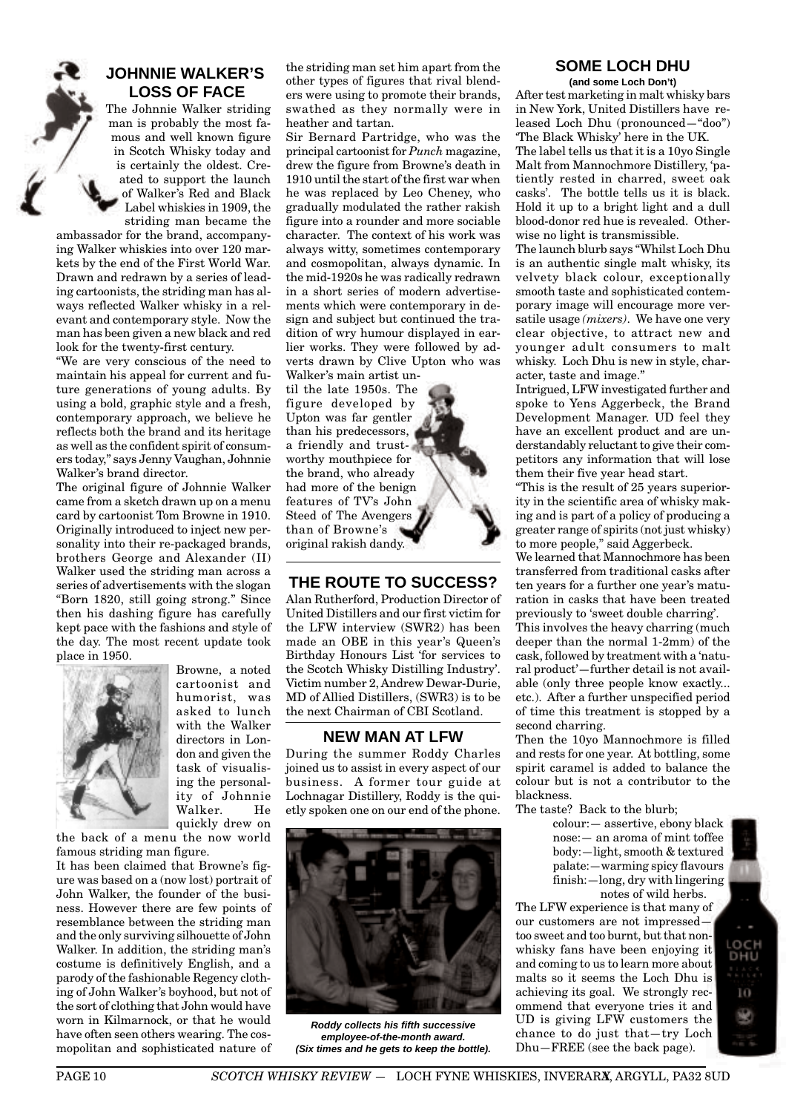## **JOHNNIE WALKER'S LOSS OF FACE**

The Johnnie Walker striding man is probably the most famous and well known figure in Scotch Whisky today and is certainly the oldest. Created to support the launch of Walker's Red and Black Label whiskies in 1909, the striding man became the

ambassador for the brand, accompanying Walker whiskies into over 120 markets by the end of the First World War. Drawn and redrawn by a series of leading cartoonists, the striding man has always reflected Walker whisky in a relevant and contemporary style. Now the man has been given a new black and red look for the twenty-first century.

"We are very conscious of the need to maintain his appeal for current and future generations of young adults. By using a bold, graphic style and a fresh, contemporary approach, we believe he reflects both the brand and its heritage as well as the confident spirit of consumers today," says Jenny Vaughan, Johnnie Walker's brand director.

The original figure of Johnnie Walker came from a sketch drawn up on a menu card by cartoonist Tom Browne in 1910. Originally introduced to inject new personality into their re-packaged brands, brothers George and Alexander (II) Walker used the striding man across a series of advertisements with the slogan "Born 1820, still going strong." Since then his dashing figure has carefully kept pace with the fashions and style of the day. The most recent update took place in 1950.



Browne, a noted cartoonist and humorist, was asked to lunch with the Walker directors in London and given the task of visualising the personality of Johnnie Walker. He quickly drew on

the back of a menu the now world famous striding man figure.

It has been claimed that Browne's figure was based on a (now lost) portrait of John Walker, the founder of the business. However there are few points of resemblance between the striding man and the only surviving silhouette of John Walker. In addition, the striding man's costume is definitively English, and a parody of the fashionable Regency clothing of John Walker's boyhood, but not of the sort of clothing that John would have worn in Kilmarnock, or that he would have often seen others wearing. The cosmopolitan and sophisticated nature of the striding man set him apart from the other types of figures that rival blenders were using to promote their brands, swathed as they normally were in heather and tartan.

Sir Bernard Partridge, who was the principal cartoonist for *Punch* magazine, drew the figure from Browne's death in 1910 until the start of the first war when he was replaced by Leo Cheney, who gradually modulated the rather rakish figure into a rounder and more sociable character. The context of his work was always witty, sometimes contemporary and cosmopolitan, always dynamic. In the mid-1920s he was radically redrawn in a short series of modern advertisements which were contemporary in design and subject but continued the tradition of wry humour displayed in earlier works. They were followed by adverts drawn by Clive Upton who was Walker's main artist un-

til the late 1950s. The figure developed by Upton was far gentler than his predecessors, a friendly and trustworthy mouthpiece for the brand, who already had more of the benign features of TV's John Steed of The Avengers than of Browne's original rakish dandy.

## **THE ROUTE TO SUCCESS?**

Alan Rutherford, Production Director of United Distillers and our first victim for the LFW interview (SWR2) has been made an OBE in this year's Queen's Birthday Honours List 'for services to the Scotch Whisky Distilling Industry'. Victim number 2, Andrew Dewar-Durie, MD of Allied Distillers, (SWR3) is to be the next Chairman of CBI Scotland.

## **NEW MAN AT LFW**

During the summer Roddy Charles joined us to assist in every aspect of our business. A former tour guide at Lochnagar Distillery, Roddy is the quietly spoken one on our end of the phone.



**Roddy collects his fifth successive employee-of-the-month award. (Six times and he gets to keep the bottle).**

## **SOME LOCH DHU**

**(and some Loch Don't)** After test marketing in malt whisky bars in New York, United Distillers have released Loch Dhu (pronounced—"doo") 'The Black Whisky' here in the UK.

The label tells us that it is a 10yo Single Malt from Mannochmore Distillery, 'patiently rested in charred, sweet oak casks'. The bottle tells us it is black. Hold it up to a bright light and a dull blood-donor red hue is revealed. Otherwise no light is transmissible.

The launch blurb says "Whilst Loch Dhu is an authentic single malt whisky, its velvety black colour, exceptionally smooth taste and sophisticated contemporary image will encourage more versatile usage *(mixers)*. We have one very clear objective, to attract new and younger adult consumers to malt whisky. Loch Dhu is new in style, character, taste and image."

Intrigued, LFW investigated further and spoke to Yens Aggerbeck, the Brand Development Manager. UD feel they have an excellent product and are understandably reluctant to give their competitors any information that will lose them their five year head start.

"This is the result of 25 years superiority in the scientific area of whisky making and is part of a policy of producing a greater range of spirits (not just whisky) to more people," said Aggerbeck.

We learned that Mannochmore has been transferred from traditional casks after ten years for a further one year's maturation in casks that have been treated previously to 'sweet double charring'.

This involves the heavy charring (much deeper than the normal 1-2mm) of the cask, followed by treatment with a 'natural product'—further detail is not available (only three people know exactly... etc.). After a further unspecified period of time this treatment is stopped by a second charring.

Then the 10yo Mannochmore is filled and rests for one year. At bottling, some spirit caramel is added to balance the colour but is not a contributor to the blackness.

The taste? Back to the blurb;

colour:— assertive, ebony black nose:— an aroma of mint toffee body:—light, smooth & textured palate:—warming spicy flavours finish:—long, dry with lingering notes of wild herbs.

The LFW experience is that many of our customers are not impressed too sweet and too burnt, but that nonwhisky fans have been enjoying it and coming to us to learn more about malts so it seems the Loch Dhu is achieving its goal. We strongly recommend that everyone tries it and UD is giving LFW customers the chance to do just that—try Loch Dhu—FREE (see the back page).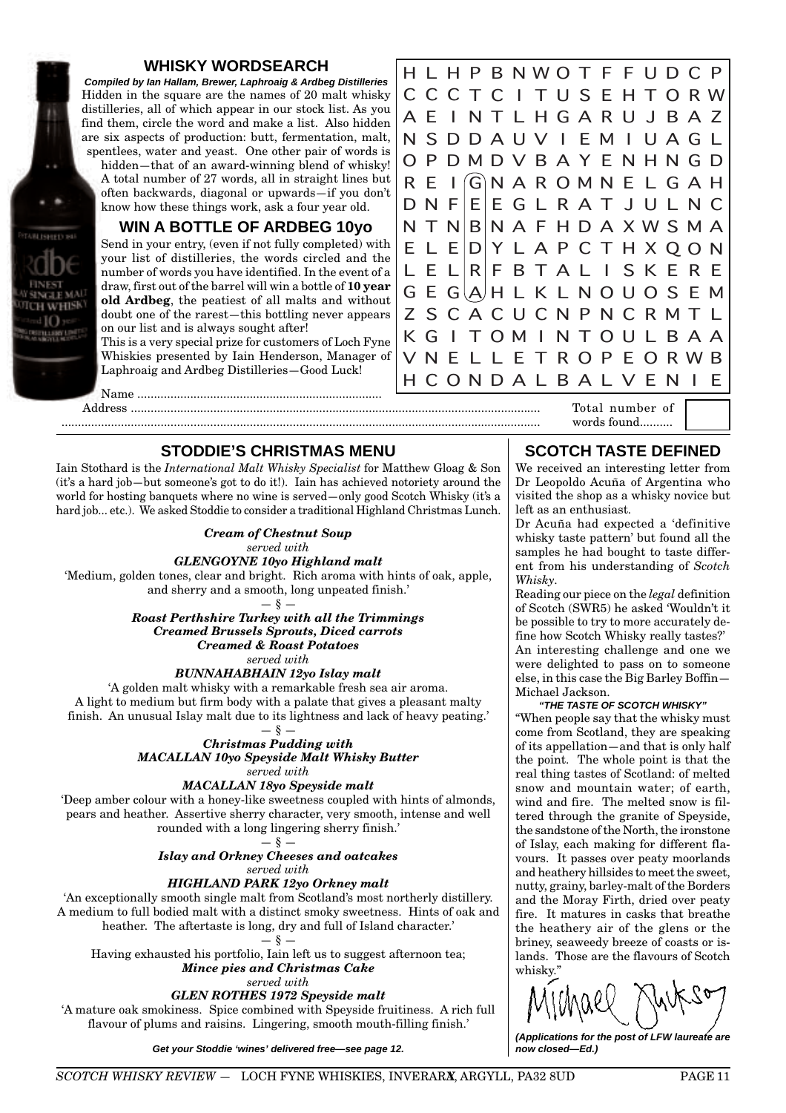#### **WHISKY WORDSEARCH** H L H P B N W O T F F U D C P **Compiled by Ian Hallam, Brewer, Laphroaig & Ardbeg Distilleries** C C C T C I T U S E H T O R W Hidden in the square are the names of 20 malt whisky distilleries, all of which appear in our stock list. As you A E I N T L H G A R U J B A Z find them, circle the word and make a list. Also hidden are six aspects of production: butt, fermentation, malt, N S D D A U V I E M I U A G L spentlees, water and yeast. One other pair of words is O P D M D V B A Y E N H N G D hidden—that of an award-winning blend of whisky! A total number of 27 words, all in straight lines but R E I GN A R O M N E L G A H often backwards, diagonal or upwards—if you don't D N F E E G L R A T J U L N C know how these things work, ask a four year old. N T N <mark>B</mark> N A F H D A X W S M A **WIN A BOTTLE OF ARDBEG 10yo** Send in your entry, (even if not fully completed) with E L E D Y L A P C T H X Q O N your list of distilleries, the words circled and the L E L R F B T A L I S K E R E number of words you have identified. In the event of a draw, first out of the barrel will win a bottle of **10 year** G E G A H L K L N O U O S E M **old Ardbeg**, the peatiest of all malts and without **TCH WHISK** Z S C A C U C N P N C R M T L doubt one of the rarest—this bottling never appears on our list and is always sought after! K G I T O M I N T O U L B A A This is a very special prize for customers of Loch Fyne Whiskies presented by Iain Henderson, Manager of V N E L L E T R O P E O R W B Laphroaig and Ardbeg Distilleries—Good Luck! H C O N D A L B A L V E N I E Name ..........................................................................

Address ............................................................................................................................ .................................................................................................................................................

Total number of words found..........

## **STODDIE'S CHRISTMAS MENU**

=4 ] ( ) ys

Iain Stothard is the *International Malt Whisky Specialist* for Matthew Gloag & Son (it's a hard job—but someone's got to do it!). Iain has achieved notoriety around the world for hosting banquets where no wine is served—only good Scotch Whisky (it's a hard job... etc.). We asked Stoddie to consider a traditional Highland Christmas Lunch.

*Cream of Chestnut Soup*

*served with*

*GLENGOYNE 10yo Highland malt* 'Medium, golden tones, clear and bright. Rich aroma with hints of oak, apple,

and sherry and a smooth, long unpeated finish.'  $\delta$   $-$ 

> *Roast Perthshire Turkey with all the Trimmings Creamed Brussels Sprouts, Diced carrots Creamed & Roast Potatoes served with*

> > *BUNNAHABHAIN 12yo Islay malt*

'A golden malt whisky with a remarkable fresh sea air aroma. A light to medium but firm body with a palate that gives a pleasant malty finish. An unusual Islay malt due to its lightness and lack of heavy peating.'

 $-$  §  $-$ *Christmas Pudding with MACALLAN 10yo Speyside Malt Whisky Butter served with*

*MACALLAN 18yo Speyside malt*

'Deep amber colour with a honey-like sweetness coupled with hints of almonds, pears and heather. Assertive sherry character, very smooth, intense and well rounded with a long lingering sherry finish.'

 $-\S$   $-$ 

*Islay and Orkney Cheeses and oatcakes served with*

*HIGHLAND PARK 12yo Orkney malt*

'An exceptionally smooth single malt from Scotland's most northerly distillery. A medium to full bodied malt with a distinct smoky sweetness. Hints of oak and heather. The aftertaste is long, dry and full of Island character.'

 $-\S$   $-$ Having exhausted his portfolio, Iain left us to suggest afternoon tea;

*Mince pies and Christmas Cake*

*served with*

### *GLEN ROTHES 1972 Speyside malt*

'A mature oak smokiness. Spice combined with Speyside fruitiness. A rich full flavour of plums and raisins. Lingering, smooth mouth-filling finish.'

**Get your Stoddie 'wines' delivered free—see page 12.**

## **SCOTCH TASTE DEFINED**

We received an interesting letter from Dr Leopoldo Acuña of Argentina who visited the shop as a whisky novice but left as an enthusiast.

Dr Acuña had expected a 'definitive whisky taste pattern' but found all the samples he had bought to taste different from his understanding of *Scotch Whisky*.

Reading our piece on the *legal* definition of Scotch (SWR5) he asked 'Wouldn't it be possible to try to more accurately define how Scotch Whisky really tastes?' An interesting challenge and one we were delighted to pass on to someone else, in this case the Big Barley Boffin— Michael Jackson.

#### **"THE TASTE OF SCOTCH WHISKY"**

"When people say that the whisky must come from Scotland, they are speaking of its appellation—and that is only half the point. The whole point is that the real thing tastes of Scotland: of melted snow and mountain water; of earth, wind and fire. The melted snow is filtered through the granite of Speyside, the sandstone of the North, the ironstone of Islay, each making for different flavours. It passes over peaty moorlands and heathery hillsides to meet the sweet, nutty, grainy, barley-malt of the Borders and the Moray Firth, dried over peaty fire. It matures in casks that breathe the heathery air of the glens or the briney, seaweedy breeze of coasts or islands. Those are the flavours of Scotch whisky."

**(Applications for the post of LFW laureate are now closed—Ed.)**